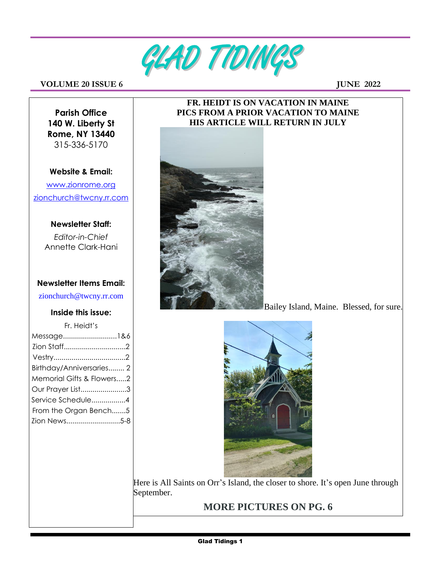

#### **VOLUME** 2018SUE 6 JUNE 2022

**Parish Office 140 W. Liberty St Rome, NY 13440** 315-336-5170

### **Website & Email:** [www.zionrome.org](http://www.zionrome.org/) [zionchurch@twcny.rr.com](mailto:zionchurch@twcny.rr.com)

# **Newsletter Staff:**

*Editor-in-Chief*  Annette Clark-Hani

#### **Newsletter Items Email:**

zionchurch@twcny.rr.com

#### **Inside this issue:**

| Fr. Heidt's               |
|---------------------------|
| Message1&6                |
|                           |
|                           |
| Birthday/Anniversaries 2  |
| Memorial Gifts & Flowers2 |
| Our Prayer List3          |
| Service Schedule4         |
| From the Organ Bench5     |
| Zion News5-8              |

#### **FR. HEIDT IS ON VACATION IN MAINE PICS FROM A PRIOR VACATION TO MAINE HIS ARTICLE WILL RETURN IN JULY**



Bailey Island, Maine. Blessed, for sure.



Here is All Saints on Orr's Island, the closer to shore. It's open June through September.

# **MORE PICTURES ON PG. 6**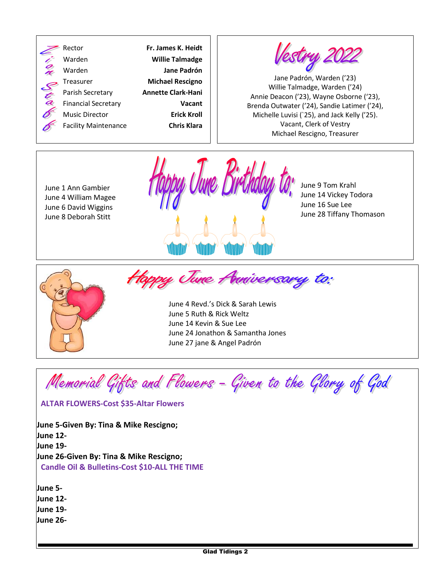



Jane Padrón, Warden ('23) Willie Talmadge, Warden ('24) Annie Deacon ('23), Wayne Osborne ('23), Brenda Outwater ('24), Sandie Latimer ('24), Michelle Luvisi (`25), and Jack Kelly ('25). Vacant, Clerk of Vestry Michael Rescigno, Treasurer

June 1 Ann Gambier June 4 William Magee June 6 David Wiggins June 8 Deborah Stitt



June 9 Tom Krahl June 14 Vickey Todora June 16 Sue Lee June 28 Tiffany Thomason



Happy June Anniversary to:

June 4 Revd.'s Dick & Sarah Lewis June 5 Ruth & Rick Weltz June 14 Kevin & Sue Lee June 24 Jonathon & Samantha Jones June 27 jane & Angel Padrón

Memorial Gifts and Flowers - Given to the Glory of God

#### **ALTAR FLOWERS-Cost \$35-Altar Flowers**

**June 5-Given By: Tina & Mike Rescigno; June 12- June 19- June 26-Given By: Tina & Mike Rescigno; Candle Oil & Bulletins-Cost \$10-ALL THE TIME**

**June 5- June 12- June 19- June 26-**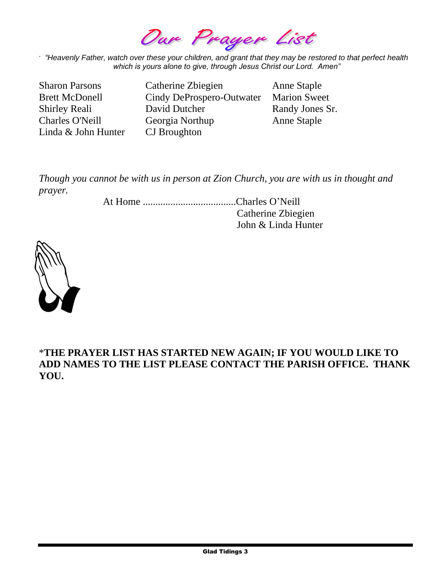Our Prager List

. *"Heavenly Father, watch over these your children, and grant that they may be restored to that perfect health which is yours alone to give, through Jesus Christ our Lord. Amen"*

Linda & John Hunter CJ Broughton

Sharon Parsons Catherine Zbiegien Anne Staple Brett McDonell Cindy DeProspero-Outwater Marion Sweet Shirley Reali David Dutcher Randy Jones Sr. Charles O'Neill Georgia Northup Anne Staple

*Though you cannot be with us in person at Zion Church, you are with us in thought and prayer.*

> At Home .....................................Charles O'Neill Catherine Zbiegien John & Linda Hunter



### \***THE PRAYER LIST HAS STARTED NEW AGAIN; IF YOU WOULD LIKE TO ADD NAMES TO THE LIST PLEASE CONTACT THE PARISH OFFICE. THANK YOU.**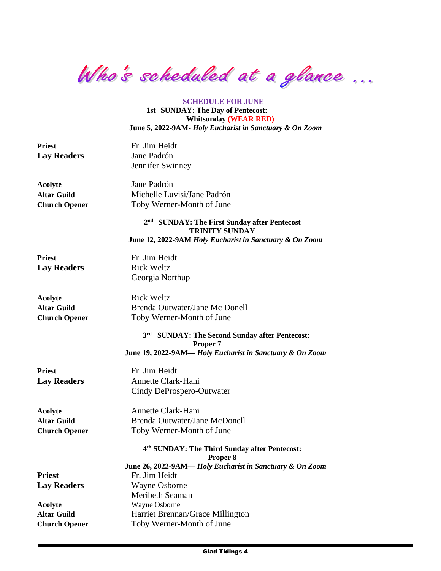Who's scheduled at a glance ...

**SCHEDULE FOR JUNE 1st SUNDAY: The Day of Pentecost: Whitsunday (WEAR RED) June 5, 2022-9AM-** *Holy Eucharist in Sanctuary & On Zoom*

Priest Fr. Jim Heidt **Lay Readers** Jane Padrón

Jennifer Swinney

**Acolyte** Jane Padrón **Altar Guild** Michelle Luvisi/Jane Padrón **Church Opener** Toby Werner-Month of June

> **2 nd SUNDAY: The First Sunday after Pentecost TRINITY SUNDAY June 12, 2022-9AM** *Holy Eucharist in Sanctuary & On Zoom*

Priest Fr. Jim Heidt **Lay Readers** Rick Weltz

Georgia Northup

Acolyte Rick Weltz

**Altar Guild** Brenda Outwater/Jane Mc Donell **Church Opener** Toby Werner-Month of June

> **3 rd SUNDAY: The Second Sunday after Pentecost: Proper 7 June 19, 2022-9AM—** *Holy Eucharist in Sanctuary & On Zoom*

**Priest** Fr. Jim Heidt

Lay Readers **Annette Clark-Hani** Cindy DeProspero-Outwater

**Acolvte** 

**Acolyte** Annette Clark-Hani **Altar Guild** Brenda Outwater/Jane McDonell **Church Opener** Toby Werner-Month of June

**4 th SUNDAY: The Third Sunday after Pentecost:**

**Proper 8**

**June 26, 2022-9AM—** *Holy Eucharist in Sanctuary & On Zoom* Priest Fr. Jim Heidt **Lay Readers** Wayne Osborne Meribeth Seaman **Acolyte** Wayne Osborne **Altar Guild** Harriet Brennan/Grace Millington **Church Opener** Toby Werner-Month of June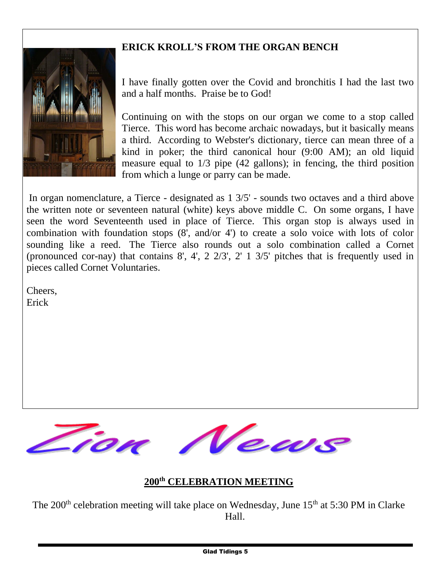## **ERICK KROLL'S FROM THE ORGAN BENCH**



I have finally gotten over the Covid and bronchitis I had the last two and a half months. Praise be to God!

Continuing on with the stops on our organ we come to a stop called Tierce. This word has become archaic nowadays, but it basically means a third. According to Webster's dictionary, tierce can mean three of a kind in poker; the third canonical hour (9:00 AM); an old liquid measure equal to 1/3 pipe (42 gallons); in fencing, the third position from which a lunge or parry can be made.

In organ nomenclature, a Tierce - designated as 1 3/5' - sounds two octaves and a third above the written note or seventeen natural (white) keys above middle C. On some organs, I have seen the word Seventeenth used in place of Tierce. This organ stop is always used in combination with foundation stops (8', and/or 4') to create a solo voice with lots of color sounding like a reed. The Tierce also rounds out a solo combination called a Cornet (pronounced cor-nay) that contains 8', 4', 2 2/3', 2' 1 3/5' pitches that is frequently used in pieces called Cornet Voluntaries.

Cheers, Erick



### **200th CELEBRATION MEETING**

The  $200<sup>th</sup>$  celebration meeting will take place on Wednesday, June 15<sup>th</sup> at 5:30 PM in Clarke Hall.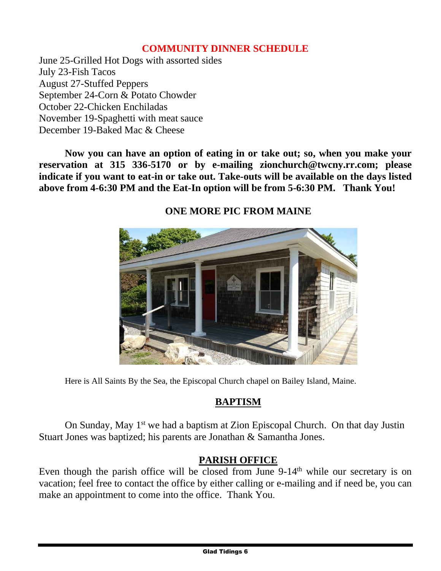### **COMMUNITY DINNER SCHEDULE**

June 25-Grilled Hot Dogs with assorted sides July 23-Fish Tacos August 27-Stuffed Peppers September 24-Corn & Potato Chowder October 22-Chicken Enchiladas November 19-Spaghetti with meat sauce December 19-Baked Mac & Cheese

**Now you can have an option of eating in or take out; so, when you make your reservation at 315 336-5170 or by e-mailing zionchurch@twcny.rr.com; please indicate if you want to eat-in or take out. Take-outs will be available on the days listed above from 4-6:30 PM and the Eat-In option will be from 5-6:30 PM. Thank You!**



# **ONE MORE PIC FROM MAINE**

Here is All Saints By the Sea, the Episcopal Church chapel on Bailey Island, Maine.

### **BAPTISM**

On Sunday, May 1<sup>st</sup> we had a baptism at Zion Episcopal Church. On that day Justin Stuart Jones was baptized; his parents are Jonathan & Samantha Jones.

### **PARISH OFFICE**

Even though the parish office will be closed from June  $9-14<sup>th</sup>$  while our secretary is on vacation; feel free to contact the office by either calling or e-mailing and if need be, you can make an appointment to come into the office. Thank You.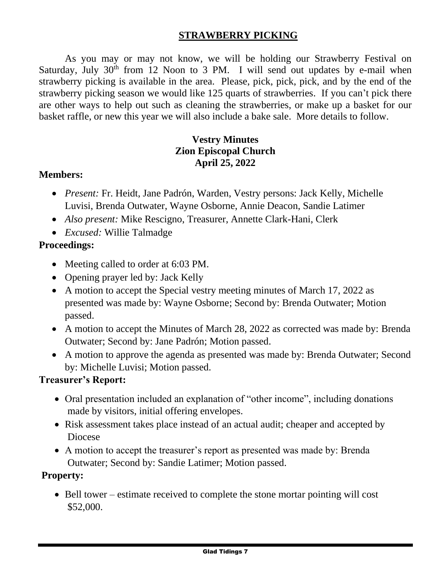### **STRAWBERRY PICKING**

As you may or may not know, we will be holding our Strawberry Festival on Saturday, July  $30<sup>th</sup>$  from 12 Noon to 3 PM. I will send out updates by e-mail when strawberry picking is available in the area. Please, pick, pick, pick, and by the end of the strawberry picking season we would like 125 quarts of strawberries. If you can't pick there are other ways to help out such as cleaning the strawberries, or make up a basket for our basket raffle, or new this year we will also include a bake sale. More details to follow.

### **Vestry Minutes Zion Episcopal Church April 25, 2022**

#### **Members:**

- *Present:* Fr. Heidt, Jane Padrón, Warden, Vestry persons: Jack Kelly, Michelle Luvisi, Brenda Outwater, Wayne Osborne, Annie Deacon, Sandie Latimer
- *Also present:* Mike Rescigno, Treasurer, Annette Clark-Hani, Clerk
- *Excused:* Willie Talmadge

### **Proceedings:**

- Meeting called to order at 6:03 PM.
- Opening prayer led by: Jack Kelly
- A motion to accept the Special vestry meeting minutes of March 17, 2022 as presented was made by: Wayne Osborne; Second by: Brenda Outwater; Motion passed.
- A motion to accept the Minutes of March 28, 2022 as corrected was made by: Brenda Outwater; Second by: Jane Padrón; Motion passed.
- A motion to approve the agenda as presented was made by: Brenda Outwater; Second by: Michelle Luvisi; Motion passed.

#### **Treasurer's Report:**

- Oral presentation included an explanation of "other income", including donations made by visitors, initial offering envelopes.
- Risk assessment takes place instead of an actual audit; cheaper and accepted by Diocese
- A motion to accept the treasurer's report as presented was made by: Brenda Outwater; Second by: Sandie Latimer; Motion passed.

### **Property:**

• Bell tower – estimate received to complete the stone mortar pointing will cost \$52,000.